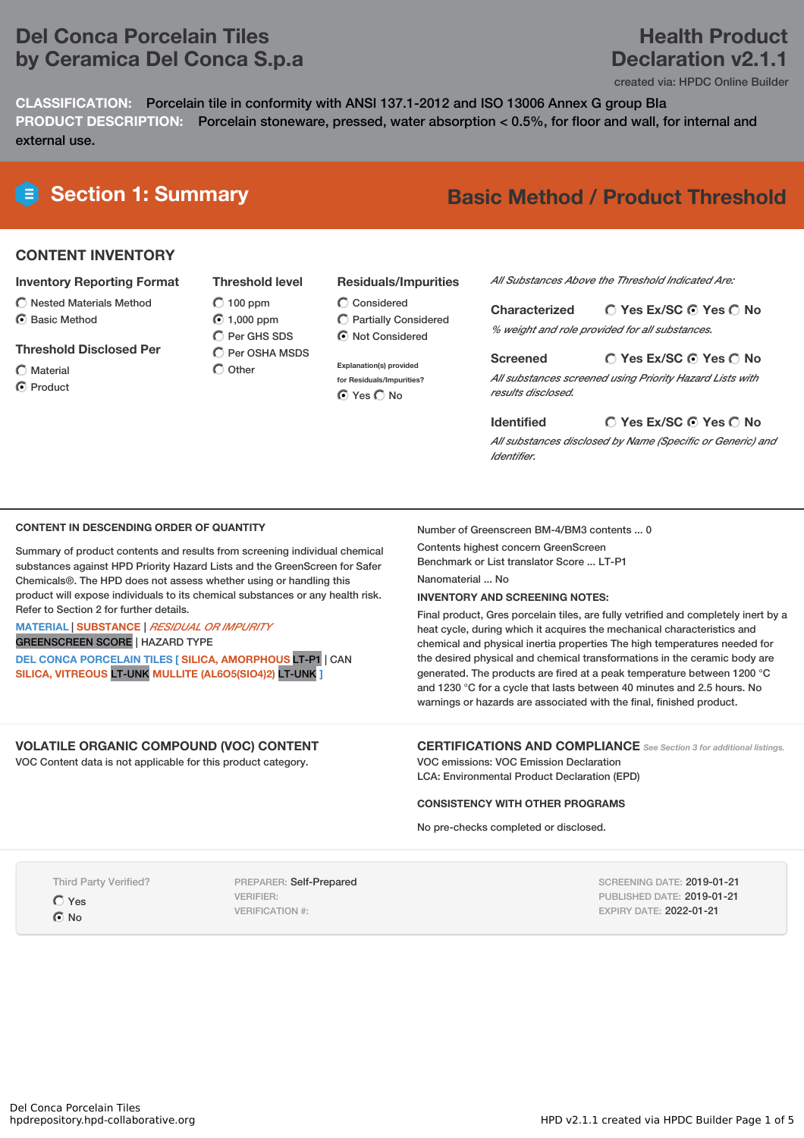# **Del Conca Porcelain Tiles by Ceramica Del Conca S.p.a**

# **Health Product Declaration v2.1.1**

created via: HPDC Online Builder

**CLASSIFICATION:** Porcelain tile in conformity with ANSI 137.1-2012 and ISO 13006 Annex G group BIa **PRODUCT DESCRIPTION:** Porcelain stoneware, pressed, water absorption < 0.5%, for floor and wall, for internal and external use.

# **Section 1: Summary Basic Method / Product Threshold**

## **CONTENT INVENTORY**

- **Inventory Reporting Format**
- $\bigcirc$  Nested Materials Method
- **⊙** Basic Method
- **Threshold Disclosed Per**
- $\bigcap$  Material
- **⊙** Product

**Threshold level**  $O$  100 ppm 1,000 ppm C Per GHS SDS Per OSHA MSDS  $\bigcap$  Other

# **Residuals/Impurities**

 $\bigcirc$  Considered Partially Considered  $\odot$  Not Considered

**Explanation(s) provided for Residuals/Impurities?** ⊙ Yes O No

*All Substances Above the Threshold Indicated Are:*

**Yes Ex/SC Yes No Characterized** *% weight and role provided for all substances.*

**Yes Ex/SC Yes No Screened** *All substances screened using Priority Hazard Lists with results disclosed.*

**Yes Ex/SC Yes No Identified**

*All substances disclosed by Name (Specific or Generic) and Identifier.*

## **CONTENT IN DESCENDING ORDER OF QUANTITY**

Summary of product contents and results from screening individual chemical substances against HPD Priority Hazard Lists and the GreenScreen for Safer Chemicals®. The HPD does not assess whether using or handling this product will expose individuals to its chemical substances or any health risk. Refer to Section 2 for further details.

**MATERIAL** | **SUBSTANCE** | *RESIDUAL OR IMPURITY* GREENSCREEN SCORE | HAZARD TYPE

**DEL CONCA PORCELAIN TILES [ SILICA, AMORPHOUS** LT-P1 | CAN **SILICA, VITREOUS** LT-UNK **MULLITE (AL6O5(SIO4)2)** LT-UNK **]**

## **VOLATILE ORGANIC COMPOUND (VOC) CONTENT**

VOC Content data is not applicable for this product category.

### Number of Greenscreen BM-4/BM3 contents ... 0

Contents highest concern GreenScreen Benchmark or List translator Score ... LT-P1 Nanomaterial ... No

**INVENTORY AND SCREENING NOTES:**

Final product, Gres porcelain tiles, are fully vetrified and completely inert by a heat cycle, during which it acquires the mechanical characteristics and chemical and physical inertia properties The high temperatures needed for the desired physical and chemical transformations in the ceramic body are generated. The products are fired at a peak temperature between 1200 °C and 1230 °C for a cycle that lasts between 40 minutes and 2.5 hours. No warnings or hazards are associated with the final, finished product.

## **CERTIFICATIONS AND COMPLIANCE** *See Section <sup>3</sup> for additional listings.*

VOC emissions: VOC Emission Declaration LCA: Environmental Product Declaration (EPD)

## **CONSISTENCY WITH OTHER PROGRAMS**

No pre-checks completed or disclosed.

Third Party Verified?

Yes

**⊙**No

PREPARER: Self-Prepared VERIFIER: VERIFICATION #:

SCREENING DATE: 2019-01-21 PUBLISHED DATE: 2019-01-21 EXPIRY DATE: 2022-01-21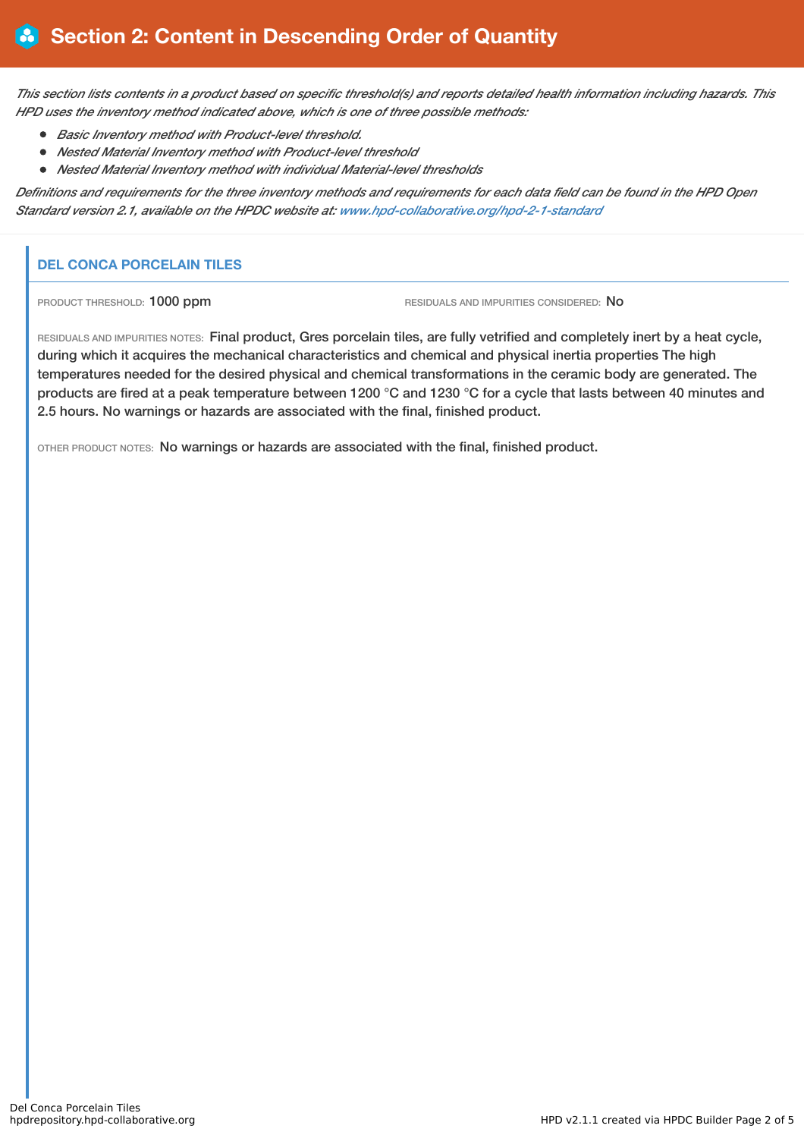This section lists contents in a product based on specific threshold(s) and reports detailed health information including hazards. This *HPD uses the inventory method indicated above, which is one of three possible methods:*

- *Basic Inventory method with Product-level threshold.*
- *Nested Material Inventory method with Product-level threshold*
- *Nested Material Inventory method with individual Material-level thresholds*

Definitions and requirements for the three inventory methods and requirements for each data field can be found in the HPD Open *Standard version 2.1, available on the HPDC website at: [www.hpd-collaborative.org/hpd-2-1-standard](http://www.hpd-collaborative.org/hpd-2-1-standard)*

# **DEL CONCA PORCELAIN TILES**

PRODUCT THRESHOLD: 1000 ppm RESIDUALS AND IMPURITIES CONSIDERED: No

RESIDUALS AND IMPURITIES NOTES: Final product, Gres porcelain tiles, are fully vetrified and completely inert by a heat cycle, during which it acquires the mechanical characteristics and chemical and physical inertia properties The high temperatures needed for the desired physical and chemical transformations in the ceramic body are generated. The products are fired at a peak temperature between 1200 °C and 1230 °C for a cycle that lasts between 40 minutes and 2.5 hours. No warnings or hazards are associated with the final, finished product.

OTHER PRODUCT NOTES: No warnings or hazards are associated with the final, finished product.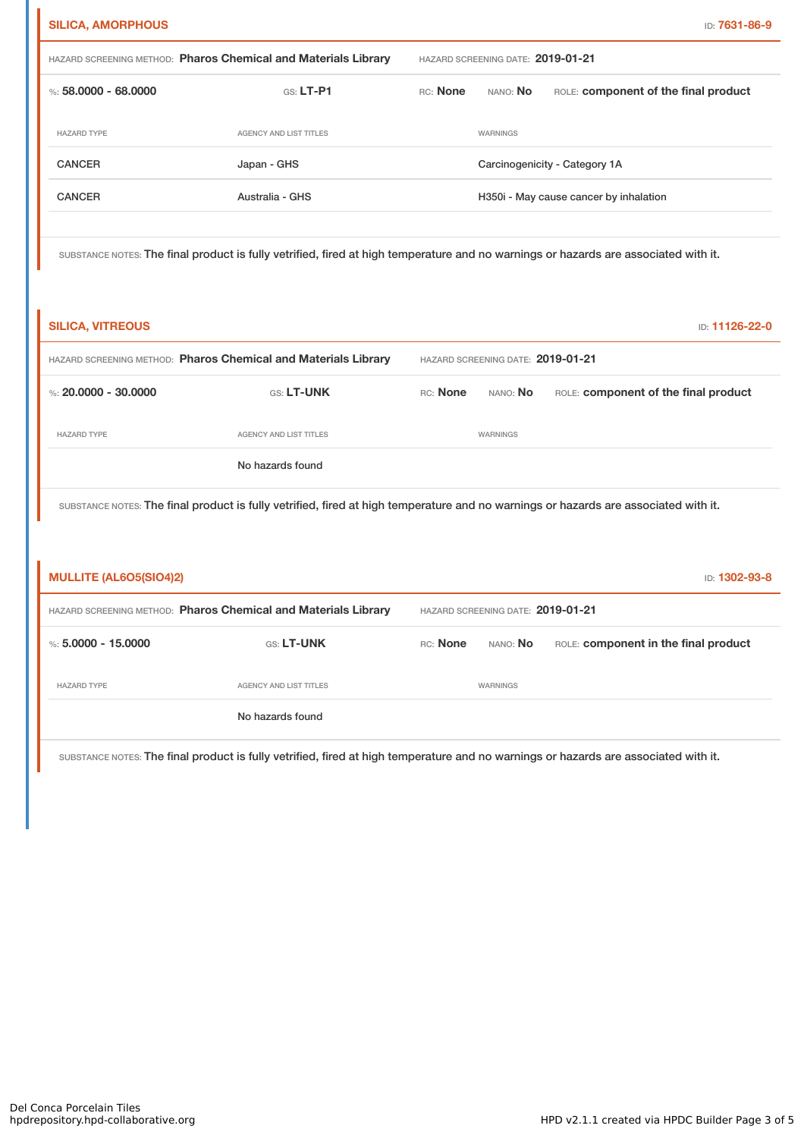| <b>SILICA, AMORPHOUS</b>                                                                                                            |                               |                                   |                                        | ID: 7631-86-9                        |  |
|-------------------------------------------------------------------------------------------------------------------------------------|-------------------------------|-----------------------------------|----------------------------------------|--------------------------------------|--|
| HAZARD SCREENING METHOD: Pharos Chemical and Materials Library                                                                      |                               | HAZARD SCREENING DATE: 2019-01-21 |                                        |                                      |  |
| %: 58,0000 - 68,0000                                                                                                                | $GS: LT-PI$                   | RC: None                          | nano: <b>No</b>                        | ROLE: component of the final product |  |
| <b>HAZARD TYPE</b>                                                                                                                  | <b>AGENCY AND LIST TITLES</b> |                                   | WARNINGS                               |                                      |  |
| <b>CANCER</b>                                                                                                                       | Japan - GHS                   |                                   | Carcinogenicity - Category 1A          |                                      |  |
| <b>CANCER</b>                                                                                                                       | Australia - GHS               |                                   | H350i - May cause cancer by inhalation |                                      |  |
|                                                                                                                                     |                               |                                   |                                        |                                      |  |
| substance notes: The final product is fully vetrified, fired at high temperature and no warnings or hazards are associated with it, |                               |                                   |                                        |                                      |  |

SUBSTANCE NOTES: The final product is fully vetrified, fired at high temperature and no warnings or hazards are associated with it.

| <b>SILICA, VITREOUS</b>                                                                                                             |                        |                                   |                 | <b>ID: 11126-22-0</b>                |  |
|-------------------------------------------------------------------------------------------------------------------------------------|------------------------|-----------------------------------|-----------------|--------------------------------------|--|
| HAZARD SCREENING METHOD: Pharos Chemical and Materials Library                                                                      |                        | HAZARD SCREENING DATE: 2019-01-21 |                 |                                      |  |
| %: 20,0000 - 30,0000                                                                                                                | <b>GS: LT-UNK</b>      | RC: None                          | nano: <b>No</b> | ROLE: component of the final product |  |
| <b>HAZARD TYPE</b>                                                                                                                  | AGENCY AND LIST TITLES |                                   | WARNINGS        |                                      |  |
|                                                                                                                                     | No hazards found       |                                   |                 |                                      |  |
| SUBSTANCE NOTES: The final product is fully vetrified, fired at high temperature and no warnings or hazards are associated with it. |                        |                                   |                 |                                      |  |

| <b>MULLITE (AL6O5(SIO4)2)</b><br><b>ID: 1302-93-8</b>          |                        |                                   |                 |                                      |  |
|----------------------------------------------------------------|------------------------|-----------------------------------|-----------------|--------------------------------------|--|
| HAZARD SCREENING METHOD: Pharos Chemical and Materials Library |                        | HAZARD SCREENING DATE: 2019-01-21 |                 |                                      |  |
| %: $5.0000 - 15.0000$                                          | <b>GS: LT-UNK</b>      | RC: None                          | nano: <b>No</b> | ROLE: component in the final product |  |
| <b>HAZARD TYPE</b>                                             | AGENCY AND LIST TITLES |                                   | WARNINGS        |                                      |  |
|                                                                | No hazards found       |                                   |                 |                                      |  |

SUBSTANCE NOTES: The final product is fully vetrified, fired at high temperature and no warnings or hazards are associated with it.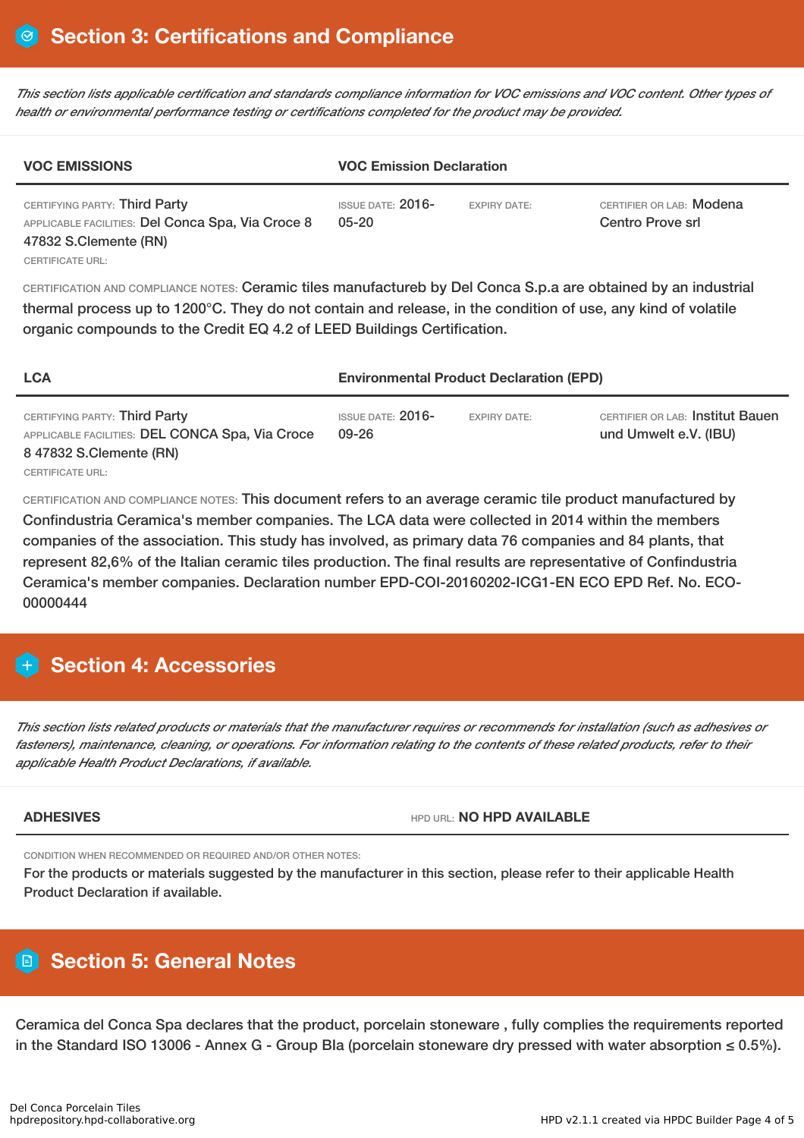This section lists applicable certification and standards compliance information for VOC emissions and VOC content. Other types of *health or environmental performance testing or certifications completed for the product may be provided.*

| <b>VOC EMISSIONS</b>                                                                                                            | <b>VOC Emission Declaration</b>       |                     |                                              |
|---------------------------------------------------------------------------------------------------------------------------------|---------------------------------------|---------------------|----------------------------------------------|
| CERTIFYING PARTY: Third Party<br>APPLICABLE FACILITIES: Del Conca Spa, Via Croce 8<br>47832 S.Clemente (RN)<br>CERTIFICATE URL: | <b>ISSUE DATE: 2016-</b><br>$05 - 20$ | <b>EXPIRY DATE:</b> | CERTIFIER OR LAB: Modena<br>Centro Prove srl |

CERTIFICATION AND COMPLIANCE NOTES: Ceramic tiles manufactureb by Del Conca S.p.a are obtained by an industrial thermal process up to 1200°C. They do not contain and release, in the condition of use, any kind of volatile organic compounds to the Credit EQ 4.2 of LEED Buildings Certification.

| <b>LCA</b>                                                                                                  | <b>Environmental Product Declaration (EPD)</b> |                     |                                                                  |  |
|-------------------------------------------------------------------------------------------------------------|------------------------------------------------|---------------------|------------------------------------------------------------------|--|
| CERTIFYING PARTY: Third Party<br>APPLICABLE FACILITIES: DEL CONCA Spa, Via Croce<br>8 47832 S.Clemente (RN) | <b>ISSUE DATE: 2016-</b><br>09-26              | <b>EXPIRY DATE:</b> | <b>CERTIFIER OR LAB: Institut Bauen</b><br>und Umwelt e.V. (IBU) |  |
| CERTIFICATE URL:                                                                                            |                                                |                     |                                                                  |  |

CERTIFICATION AND COMPLIANCE NOTES: This document refers to an average ceramic tile product manufactured by Confindustria Ceramica's member companies. The LCA data were collected in 2014 within the members companies of the association. This study has involved, as primary data 76 companies and 84 plants, that represent 82,6% of the Italian ceramic tiles production. The final results are representative of Confindustria Ceramica's member companies. Declaration number EPD-COI-20160202-ICG1-EN ECO EPD Ref. No. ECO-00000444

# **Section 4: Accessories**

This section lists related products or materials that the manufacturer requires or recommends for installation (such as adhesives or fasteners), maintenance, cleaning, or operations. For information relating to the contents of these related products, refer to their *applicable Health Product Declarations, if available.*

**ADHESIVES** HPD URL: **NO HPD AVAILABLE**

CONDITION WHEN RECOMMENDED OR REQUIRED AND/OR OTHER NOTES:

For the products or materials suggested by the manufacturer in this section, please refer to their applicable Health Product Declaration if available.

# **Section 5: General Notes**

Ceramica del Conca Spa declares that the product, porcelain stoneware , fully complies the requirements reported in the Standard ISO 13006 - Annex G - Group BIa (porcelain stoneware dry pressed with water absorption ≤ 0.5%).